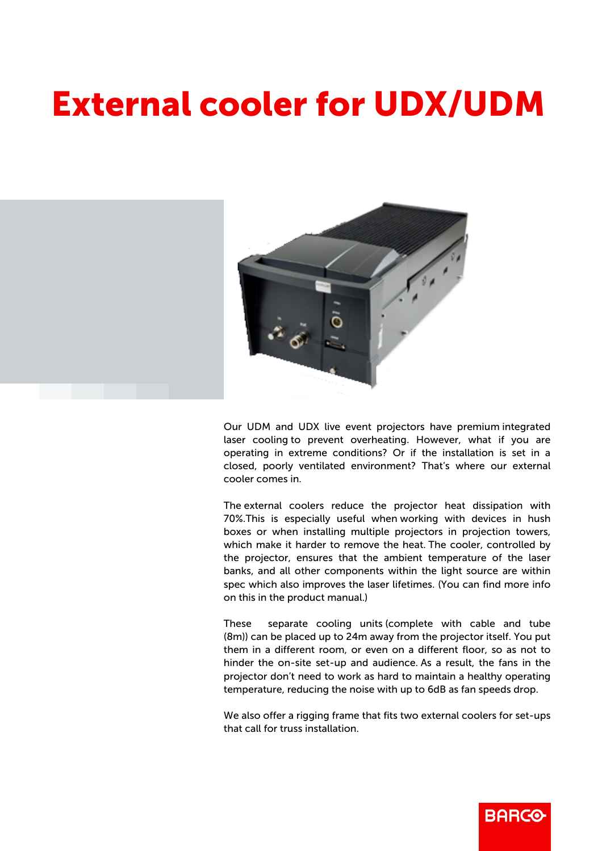## External cooler for UDX/UDM



Our UDM and UDX live event projectors have premium integrated laser cooling to prevent overheating. However, what if you are operating in extreme conditions? Or if the installation is set in a closed, poorly ventilated environment? That's where our external cooler comes in.

The external coolers reduce the projector heat dissipation with 70%.This is especially useful when working with devices in hush boxes or when installing multiple projectors in projection towers, which make it harder to remove the heat. The cooler, controlled by the projector, ensures that the ambient temperature of the laser banks, and all other components within the light source are within spec which also improves the laser lifetimes. (You can find more info on this in the product manual.)

These separate cooling units (complete with cable and tube (8m)) can be placed up to 24m away from the projector itself. You put them in a different room, or even on a different floor, so as not to hinder the on-site set-up and audience. As a result, the fans in the projector don't need to work as hard to maintain a healthy operating temperature, reducing the noise with up to 6dB as fan speeds drop.

We also offer a rigging frame that fits two external coolers for set-ups that call for truss installation.